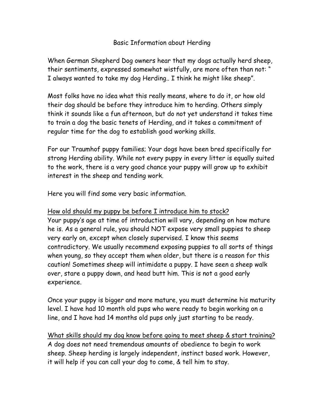### Basic Information about Herding

When German Shepherd Dog owners hear that my dogs actually herd sheep, their sentiments, expressed somewhat wistfully, are more often than not: " I always wanted to take my dog Herding.. I think he might like sheep".

Most folks have no idea what this really means, where to do it, or how old their dog should be before they introduce him to herding. Others simply think it sounds like a fun afternoon, but do not yet understand it takes time to train a dog the basic tenets of Herding, and it takes a commitment of regular time for the dog to establish good working skills.

For our Traumhof puppy families; Your dogs have been bred specifically for strong Herding ability. While not every puppy in every litter is equally suited to the work, there is a very good chance your puppy will grow up to exhibit interest in the sheep and tending work.

Here you will find some very basic information.

## How old should my puppy be before I introduce him to stock?

Your puppy's age at time of introduction will vary, depending on how mature he is. As a general rule, you should NOT expose very small puppies to sheep very early on, except when closely supervised. I know this seems contradictory. We usually recommend exposing puppies to all sorts of things when young, so they accept them when older, but there is a reason for this caution! Sometimes sheep will intimidate a puppy. I have seen a sheep walk over, stare a puppy down, and head butt him. This is not a good early experience.

Once your puppy is bigger and more mature, you must determine his maturity level. I have had 10 month old pups who were ready to begin working on a line, and I have had 14 months old pups only just starting to be ready.

What skills should my dog know before going to meet sheep & start training? A dog does not need tremendous amounts of obedience to begin to work sheep. Sheep herding is largely independent, instinct based work. However, it will help if you can call your dog to come, & tell him to stay.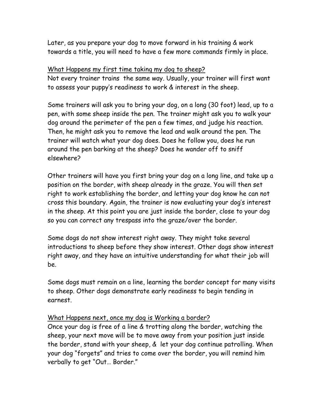Later, as you prepare your dog to move forward in his training & work towards a title, you will need to have a few more commands firmly in place.

### What Happens my first time taking my dog to sheep?

Not every trainer trains the same way. Usually, your trainer will first want to assess your puppy's readiness to work & interest in the sheep.

Some trainers will ask you to bring your dog, on a long (30 foot) lead, up to a pen, with some sheep inside the pen. The trainer might ask you to walk your dog around the perimeter of the pen a few times, and judge his reaction. Then, he might ask you to remove the lead and walk around the pen. The trainer will watch what your dog does. Does he follow you, does he run around the pen barking at the sheep? Does he wander off to sniff elsewhere?

Other trainers will have you first bring your dog on a long line, and take up a position on the border, with sheep already in the graze. You will then set right to work establishing the border, and letting your dog know he can not cross this boundary. Again, the trainer is now evaluating your dog's interest in the sheep. At this point you are just inside the border, close to your dog so you can correct any trespass into the graze/over the border.

Some dogs do not show interest right away. They might take several introductions to sheep before they show interest. Other dogs show interest right away, and they have an intuitive understanding for what their job will be.

Some dogs must remain on a line, learning the border concept for many visits to sheep. Other dogs demonstrate early readiness to begin tending in earnest.

# What Happens next, once my dog is Working a border?

Once your dog is free of a line & trotting along the border, watching the sheep, your next move will be to move away from your position just inside the border, stand with your sheep, & let your dog continue patrolling. When your dog "forgets" and tries to come over the border, you will remind him verbally to get "Out… Border."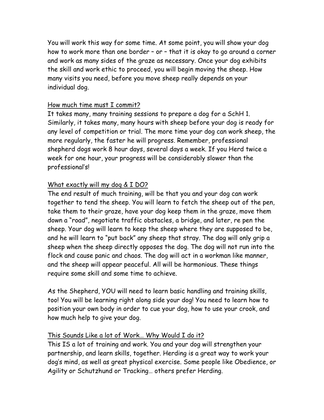You will work this way for some time. At some point, you will show your dog how to work more than one border – or – that it is okay to go around a corner and work as many sides of the graze as necessary. Once your dog exhibits the skill and work ethic to proceed, you will begin moving the sheep. How many visits you need, before you move sheep really depends on your individual dog.

## How much time must I commit?

It takes many, many training sessions to prepare a dog for a SchH 1. Similarly, it takes many, many hours with sheep before your dog is ready for any level of competition or trial. The more time your dog can work sheep, the more regularly, the faster he will progress. Remember, professional shepherd dogs work 8 hour days, several days a week. If you Herd twice a week for one hour, your progress will be considerably slower than the professional's!

# What exactly will my dog & I DO?

The end result of much training, will be that you and your dog can work together to tend the sheep. You will learn to fetch the sheep out of the pen, take them to their graze, have your dog keep them in the graze, move them down a "road", negotiate traffic obstacles, a bridge, and later, re pen the sheep. Your dog will learn to keep the sheep where they are supposed to be, and he will learn to "put back" any sheep that stray. The dog will only grip a sheep when the sheep directly opposes the dog. The dog will not run into the flock and cause panic and chaos. The dog will act in a workman like manner, and the sheep will appear peaceful. All will be harmonious. These things require some skill and some time to achieve.

As the Shepherd, YOU will need to learn basic handling and training skills, too! You will be learning right along side your dog! You need to learn how to position your own body in order to cue your dog, how to use your crook, and how much help to give your dog.

# This Sounds Like a lot of Work… Why Would I do it?

This IS a lot of training and work. You and your dog will strengthen your partnership, and learn skills, together. Herding is a great way to work your dog's mind, as well as great physical exercise. Some people like Obedience, or Agility or Schutzhund or Tracking… others prefer Herding.